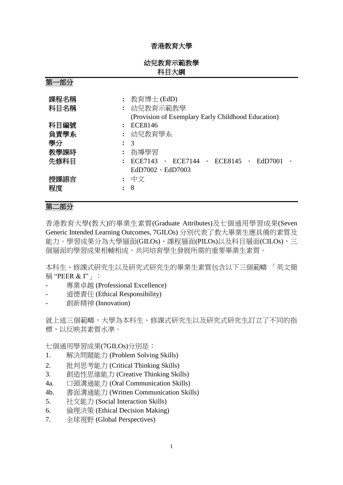## 香港教育大學

| 幼兒教育示範教學 |
|----------|
| 科目大綱     |

第一部分

| 課程名稱<br>科目名稱 | 教育博士 (EdD)<br>幼兒教育示範教學<br>(Provision of Exemplary Early Childhood Education) |
|--------------|------------------------------------------------------------------------------|
| 科目編號         | <b>ECE8146</b>                                                               |
| 負責學系         | : 幼兒教育學系                                                                     |
| 學分<br>:      | $\mathcal{R}$                                                                |
| 教學課時         | 指導學習                                                                         |
| 先修科目         | ECE7144<br>ECE7143<br>$\sqrt{ECE8145}$<br>- EdD7001<br>$\mathbf{v}$          |
|              | $EdD7002 \cdot EdD7003$                                                      |
| 授課語言         | 中文                                                                           |
| 程度           | 8                                                                            |

## 第二部分

香港教育大學(教大)的畢業生素質(Graduate Attributes)及七個通用學習成果(Seven Generic Intended Learning Outcomes, 7GILOs) 分別代表了教大畢業生應具備的素質及 能力。學習成果分為大學層面(GILOs)、課程層面(PILOs)以及科目層面(CILOs),三 個層面的學習成果相輔相成,共同培育學生發展所需的重要畢業生素質。

本科生、修課式研究生以及研究式研究生的畢業生素質包含以下三個範疇 「英文簡 稱 "PEER & I" | :

- 專業卓越 (Professional Excellence)
- 道德責任 (Ethical Responsibility)
- 創新精神 (Innovation)

就上述三個範疇,大學為本科生、修課式研究生以及研究式研究生訂立了不同的指 標,以反映其素質水準。

七個通用學習成果(7GILOs)分別是:

- 1. 解決問題能力 (Problem Solving Skills)
- 2. 批判思考能力 (Critical Thinking Skills)
- 3. 創造性思維能力 (Creative Thinking Skills)
- 4a. 口頭溝通能力 (Oral Communication Skills)
- 4b. 書面溝通能力 (Written Communication Skills)
- 5. 社交能力 (Social Interaction Skills)
- 6. 倫理決策 (Ethical Decision Making)
- 7. 全球視野 (Global Perspectives)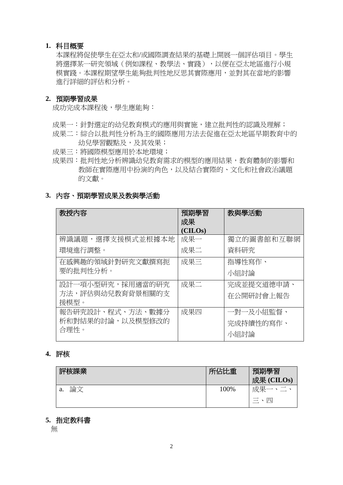#### **1.** 科目概要

本課程將促使學生在亞太和/或國際調查結果的基礎上開展一個評估項目。學生 將選擇某一研究領域(例如課程、教學法、實踐),以便在亞太地區進行小規 模實踐。本課程期望學生能夠批判性地反思其實際應用,並對其在當地的影響 進行詳細的評估和分析。

#### **2.** 預期學習成果

成功完成本課程後,學生應能夠:

- 成果一:針對選定的幼兒教育模式的應用與實施,建立批判性的認識及理解;
- 成果二:綜合以批判性分析為主的國際應用方法去促進在亞太地區早期教育中的 幼兒學習觀點及,及其效果;
- 成果三:將國際模型應用於本地環境;
- 成果四:批判性地分析辨識幼兒教育需求的模型的應用結果,教育體制的影響和 教師在實際應用中扮演的角色,以及結合實際的、文化和社會政治議題 的文獻。

#### **3.** 內容、預期學習成果及教與學活動

| 教授内容             | 預期學習<br>成果 | 教與學活動      |
|------------------|------------|------------|
|                  | (CILOs)    |            |
| 辨識議題,選擇支援模式並根據本地 | 成果一        | 獨立的圖書館和互聯網 |
| 環境進行調整。          | 成果二        | 資料研究       |
| 在感興趣的領域針對研究文獻撰寫扼 | 成果三        | 指導性寫作、     |
| 要的批判性分析。         |            | 小組討論       |
| 設計一項小型研究,採用適當的研究 | 成果二        | 完成並提交道德申請、 |
| 方法,評估與幼兒教育背景相關的支 |            | 在公開研討會上報告  |
| 援模型。             |            |            |
| 報告研究設計、程式、方法、數據分 | 成果四        | 一對一及小組監督、  |
| 析和對結果的討論,以及模型修改的 |            | 完成持續性的寫作、  |
| 合理性。             |            | 小組討論       |

# **4.** 評核

| 評核課業     | 所佔比重 | 預期學習<br>成果 (CILOs)   |
|----------|------|----------------------|
| 論文<br>a. | 100% | 成果一                  |
|          |      | 兀<br>$\equiv$ $\sim$ |

#### **5.** 指定教科書

無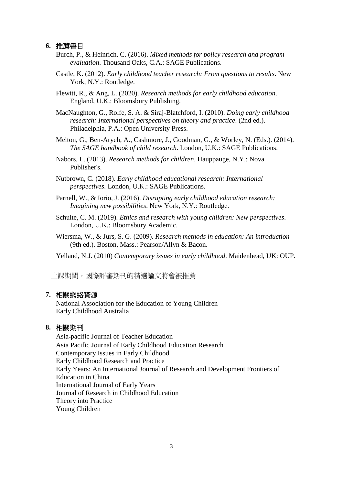#### **6.** 推薦書目

- Burch, P., & Heinrich, C. (2016). *Mixed methods for policy research and program evaluation*. Thousand Oaks, C.A.: SAGE Publications.
- Castle, K. (2012). *Early childhood teacher research: From questions to results*. New York, N.Y.: Routledge.

Flewitt, R., & Ang, L. (2020). *Research methods for early childhood education*. England, U.K.: Bloomsbury Publishing.

MacNaughton, G., Rolfe, S. A. & Siraj-Blatchford, I. (2010). *Doing early childhood research: International perspectives on theory and practice*. (2nd ed.). Philadelphia, P.A.: Open University Press.

Melton, G., Ben-Aryeh, A., Cashmore, J., Goodman, G., & Worley, N. (Eds.). (2014). *The SAGE handbook of child research*. London, U.K.: SAGE Publications.

Nabors, L. (2013). *Research methods for children*. Hauppauge, N.Y.: Nova Publisher's.

Nutbrown, C. (2018). *Early childhood educational research: International perspectives*. London, U.K.: SAGE Publications.

Parnell, W., & Iorio, J. (2016). *Disrupting early childhood education research: Imagining new possibilities*. New York, N.Y.: Routledge.

- Schulte, C. M. (2019). *Ethics and research with young children: New perspectives*. London, U.K.: Bloomsbury Academic.
- Wiersma, W., & Jurs, S. G. (2009). *Research methods in education: An introduction* (9th ed.). Boston, Mass.: Pearson/Allyn & Bacon.

Yelland, N.J. (2010) *Contemporary issues in early childhood*. Maidenhead, UK: OUP.

上課期間,國際評審期刊的精選論文將會被推薦

#### **7.** 相關網絡資源

National Association for the Education of Young Children Early Childhood Australia

## **8.** 相關期刊

Asia‐pacific Journal of Teacher Education Asia Pacific Journal of Early Childhood Education Research Contemporary Issues in Early Childhood Early Childhood Research and Practice Early Years: An International Journal of Research and Development Frontiers of Education in China International Journal of Early Years Journal of Research in Childhood Education Theory into Practice Young Children